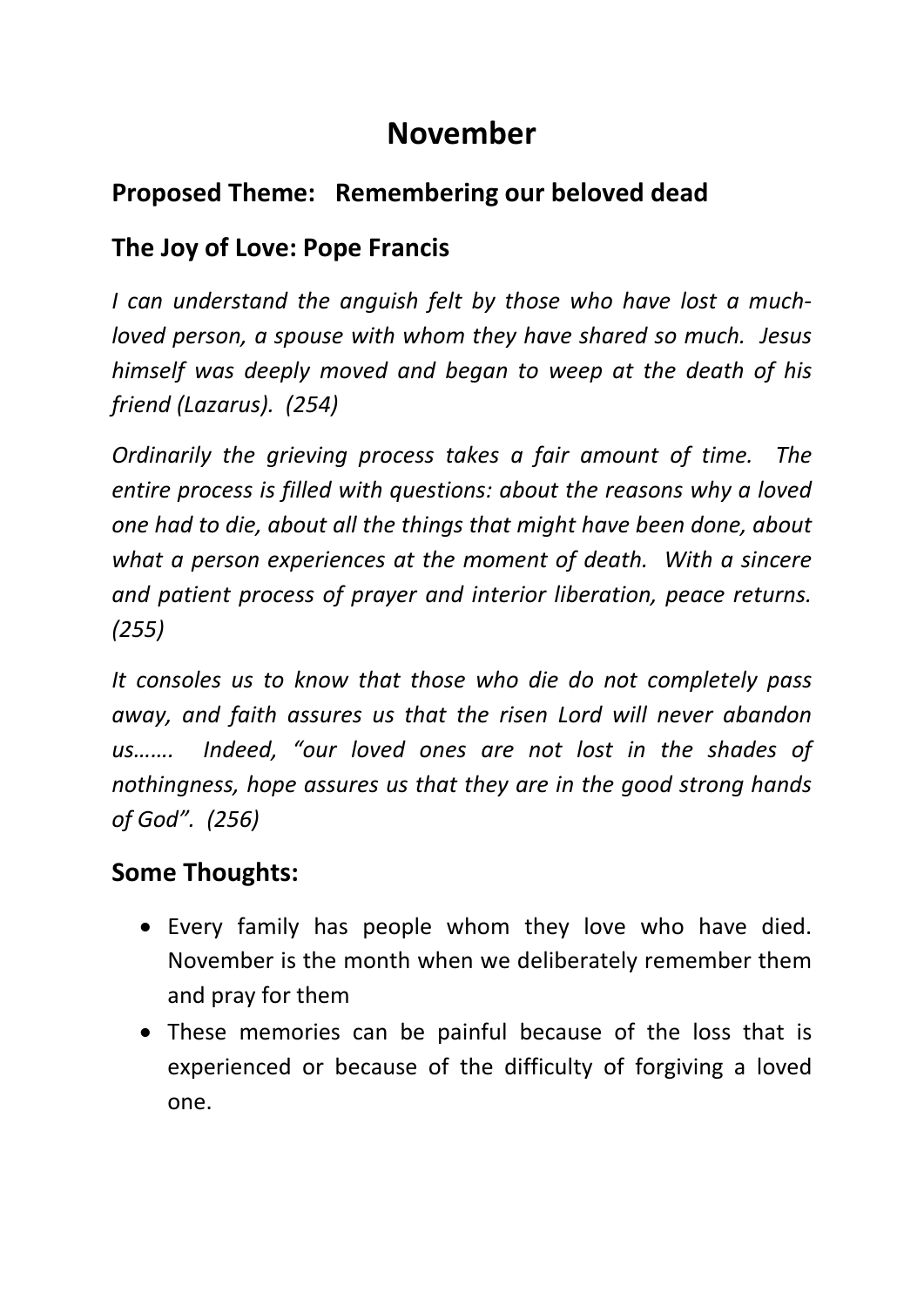# **November**

## **Proposed Theme: Remembering our beloved dead**

## **The Joy of Love: Pope Francis**

*I can understand the anguish felt by those who have lost a muchloved person, a spouse with whom they have shared so much. Jesus himself was deeply moved and began to weep at the death of his friend (Lazarus). (254)*

*Ordinarily the grieving process takes a fair amount of time. The entire process is filled with questions: about the reasons why a loved one had to die, about all the things that might have been done, about what a person experiences at the moment of death. With a sincere and patient process of prayer and interior liberation, peace returns. (255)*

*It consoles us to know that those who die do not completely pass away, and faith assures us that the risen Lord will never abandon us……. Indeed, "our loved ones are not lost in the shades of nothingness, hope assures us that they are in the good strong hands of God". (256)*

#### **Some Thoughts:**

- Every family has people whom they love who have died. November is the month when we deliberately remember them and pray for them
- These memories can be painful because of the loss that is experienced or because of the difficulty of forgiving a loved one.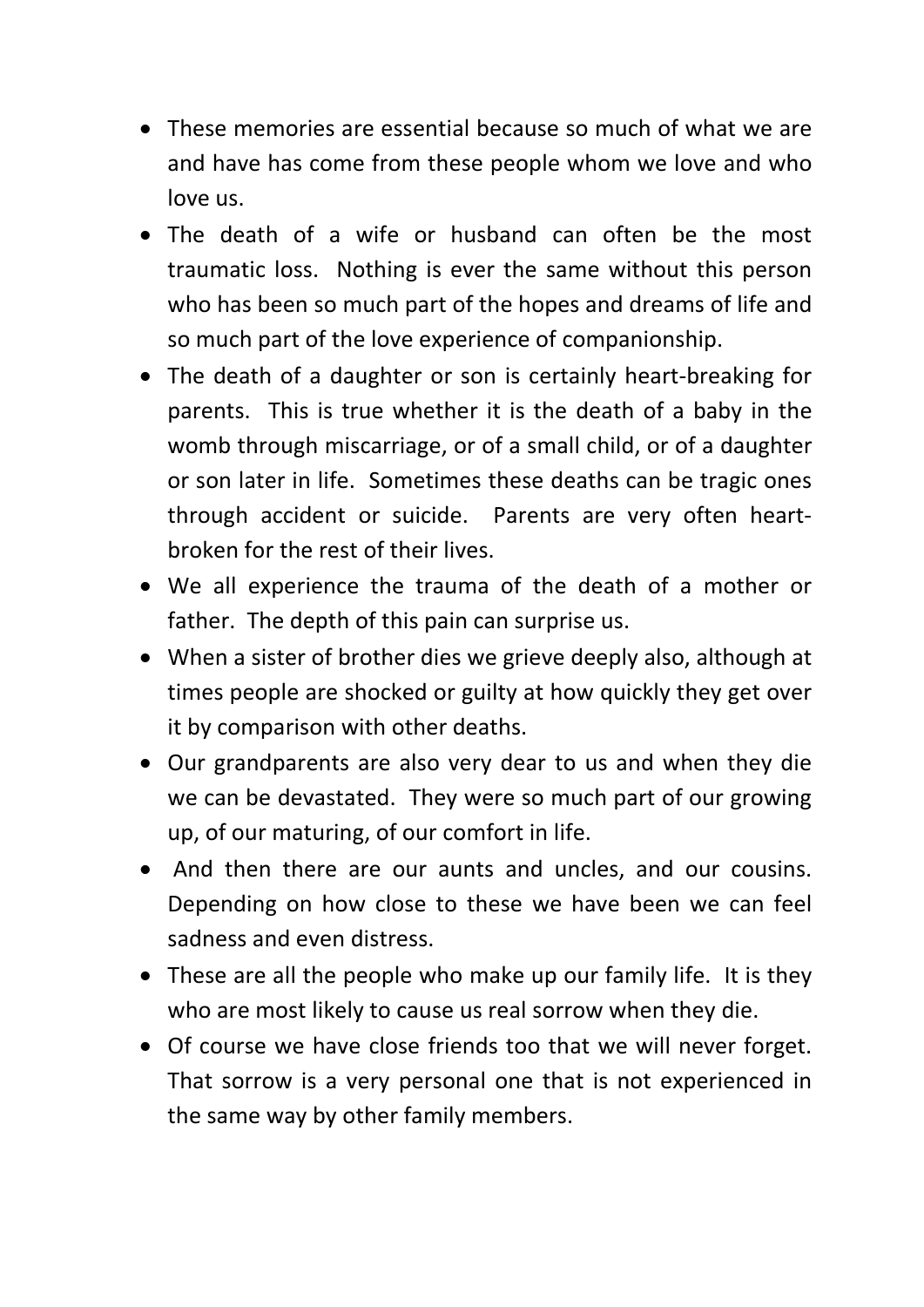- These memories are essential because so much of what we are and have has come from these people whom we love and who love us.
- The death of a wife or husband can often be the most traumatic loss. Nothing is ever the same without this person who has been so much part of the hopes and dreams of life and so much part of the love experience of companionship.
- The death of a daughter or son is certainly heart-breaking for parents. This is true whether it is the death of a baby in the womb through miscarriage, or of a small child, or of a daughter or son later in life. Sometimes these deaths can be tragic ones through accident or suicide. Parents are very often heartbroken for the rest of their lives.
- We all experience the trauma of the death of a mother or father. The depth of this pain can surprise us.
- When a sister of brother dies we grieve deeply also, although at times people are shocked or guilty at how quickly they get over it by comparison with other deaths.
- Our grandparents are also very dear to us and when they die we can be devastated. They were so much part of our growing up, of our maturing, of our comfort in life.
- And then there are our aunts and uncles, and our cousins. Depending on how close to these we have been we can feel sadness and even distress.
- These are all the people who make up our family life. It is they who are most likely to cause us real sorrow when they die.
- Of course we have close friends too that we will never forget. That sorrow is a very personal one that is not experienced in the same way by other family members.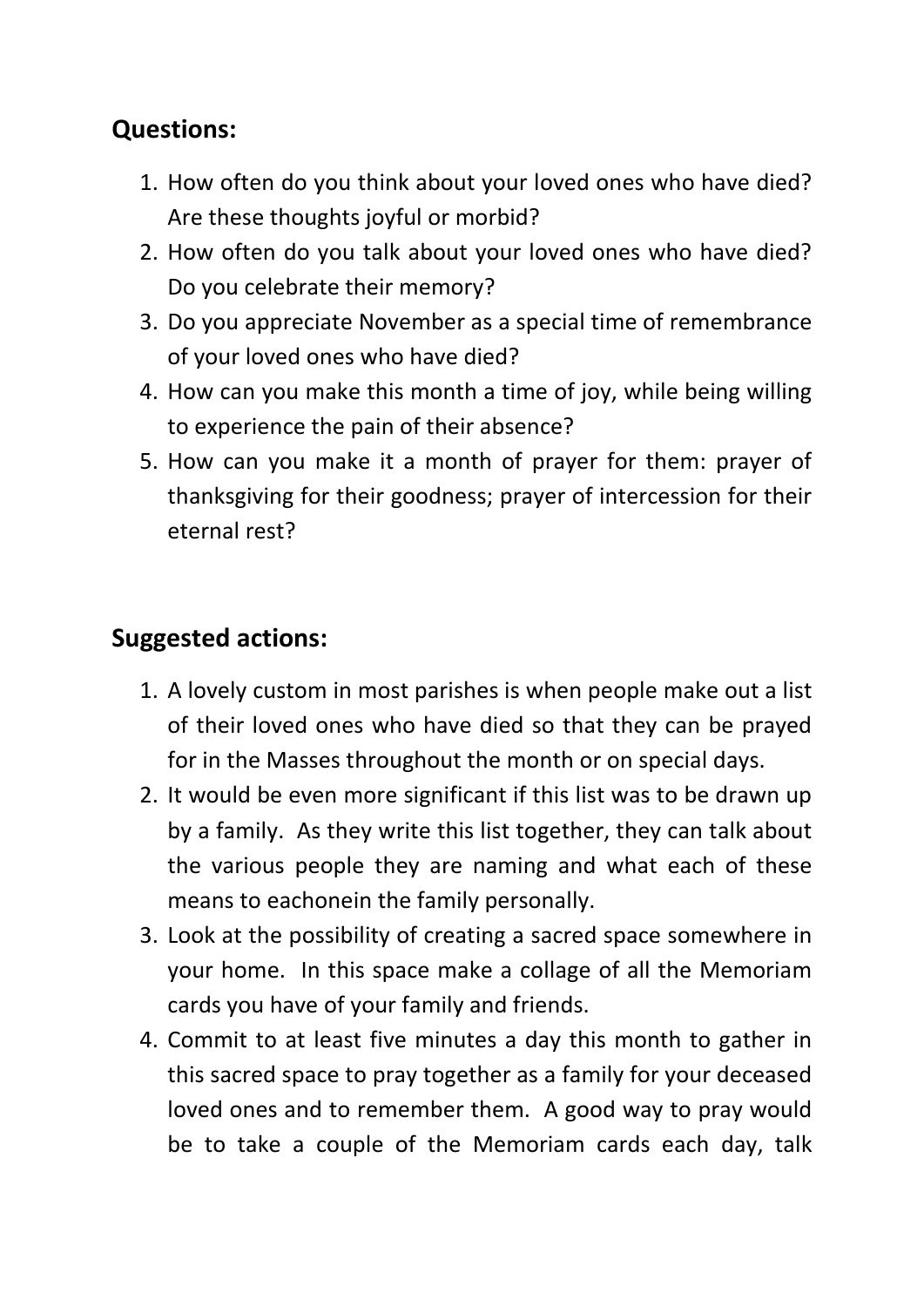## **Questions:**

- 1. How often do you think about your loved ones who have died? Are these thoughts joyful or morbid?
- 2. How often do you talk about your loved ones who have died? Do you celebrate their memory?
- 3. Do you appreciate November as a special time of remembrance of your loved ones who have died?
- 4. How can you make this month a time of joy, while being willing to experience the pain of their absence?
- 5. How can you make it a month of prayer for them: prayer of thanksgiving for their goodness; prayer of intercession for their eternal rest?

#### **Suggested actions:**

- 1. A lovely custom in most parishes is when people make out a list of their loved ones who have died so that they can be prayed for in the Masses throughout the month or on special days.
- 2. It would be even more significant if this list was to be drawn up by a family. As they write this list together, they can talk about the various people they are naming and what each of these means to eachonein the family personally.
- 3. Look at the possibility of creating a sacred space somewhere in your home. In this space make a collage of all the Memoriam cards you have of your family and friends.
- 4. Commit to at least five minutes a day this month to gather in this sacred space to pray together as a family for your deceased loved ones and to remember them. A good way to pray would be to take a couple of the Memoriam cards each day, talk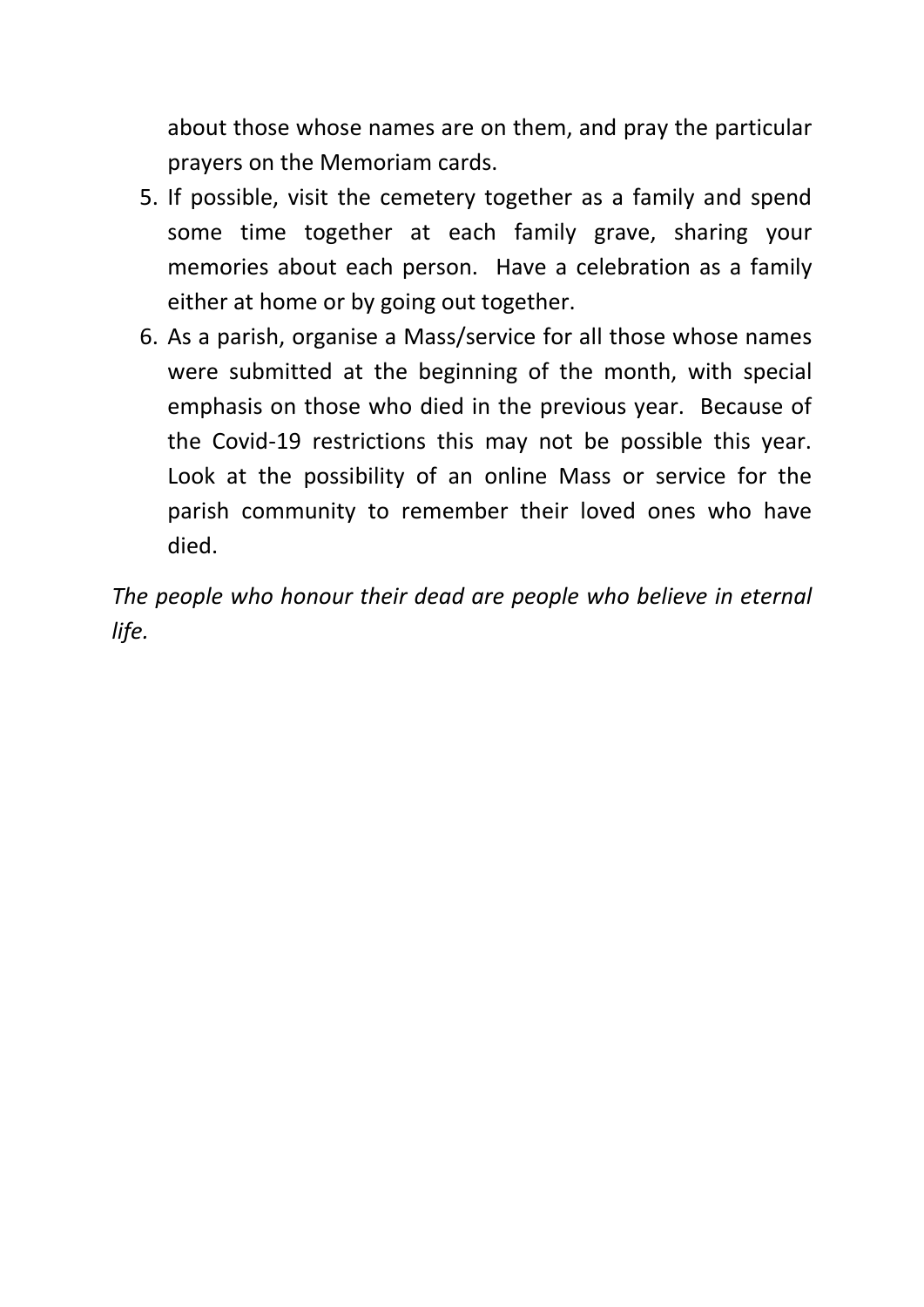about those whose names are on them, and pray the particular prayers on the Memoriam cards.

- 5. If possible, visit the cemetery together as a family and spend some time together at each family grave, sharing your memories about each person. Have a celebration as a family either at home or by going out together.
- 6. As a parish, organise a Mass/service for all those whose names were submitted at the beginning of the month, with special emphasis on those who died in the previous year. Because of the Covid-19 restrictions this may not be possible this year. Look at the possibility of an online Mass or service for the parish community to remember their loved ones who have died.

*The people who honour their dead are people who believe in eternal life.*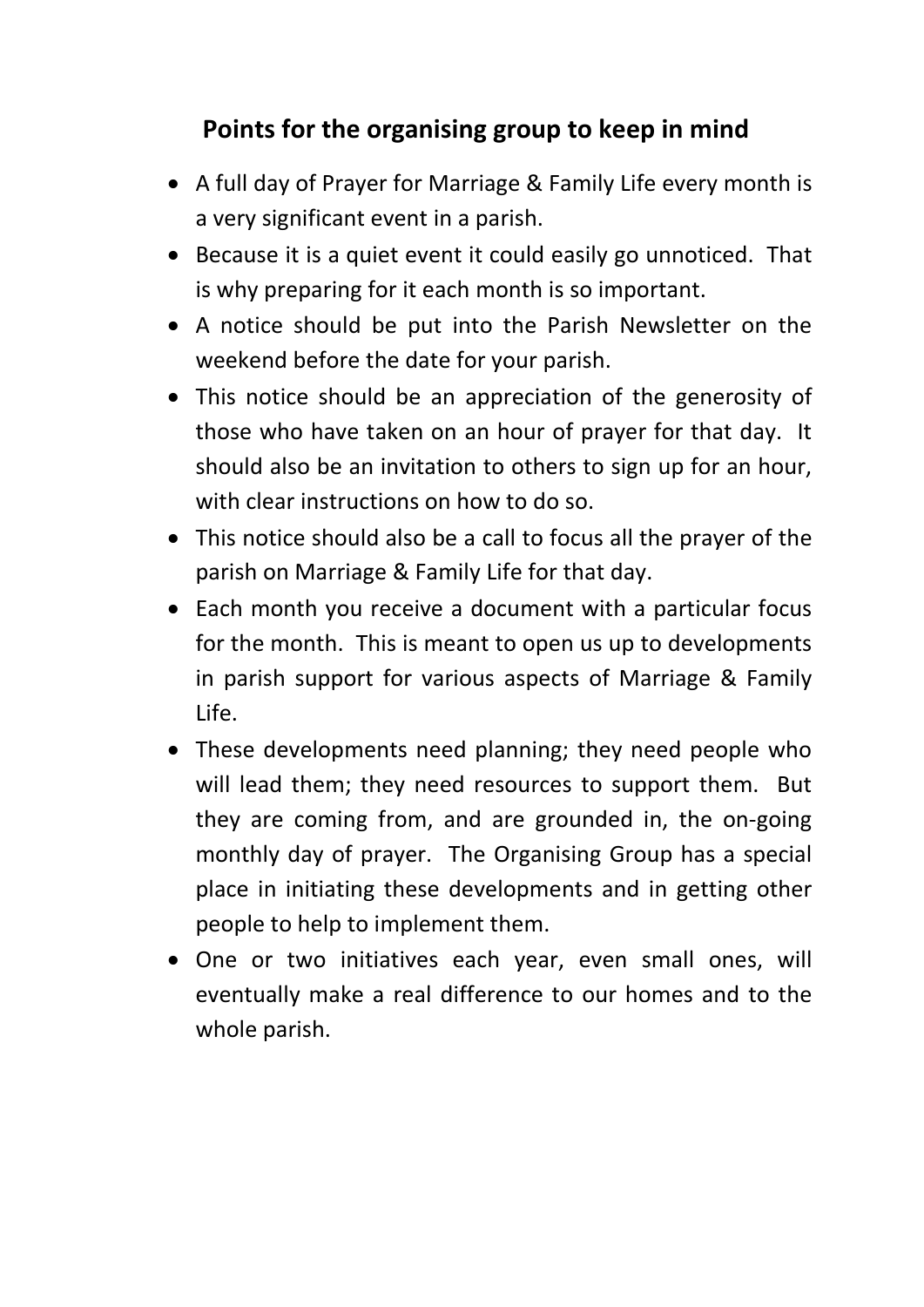## **Points for the organising group to keep in mind**

- A full day of Prayer for Marriage & Family Life every month is a very significant event in a parish.
- Because it is a quiet event it could easily go unnoticed. That is why preparing for it each month is so important.
- A notice should be put into the Parish Newsletter on the weekend before the date for your parish.
- This notice should be an appreciation of the generosity of those who have taken on an hour of prayer for that day. It should also be an invitation to others to sign up for an hour, with clear instructions on how to do so.
- This notice should also be a call to focus all the prayer of the parish on Marriage & Family Life for that day.
- Each month you receive a document with a particular focus for the month. This is meant to open us up to developments in parish support for various aspects of Marriage & Family Life.
- These developments need planning; they need people who will lead them; they need resources to support them. But they are coming from, and are grounded in, the on-going monthly day of prayer. The Organising Group has a special place in initiating these developments and in getting other people to help to implement them.
- One or two initiatives each year, even small ones, will eventually make a real difference to our homes and to the whole parish.